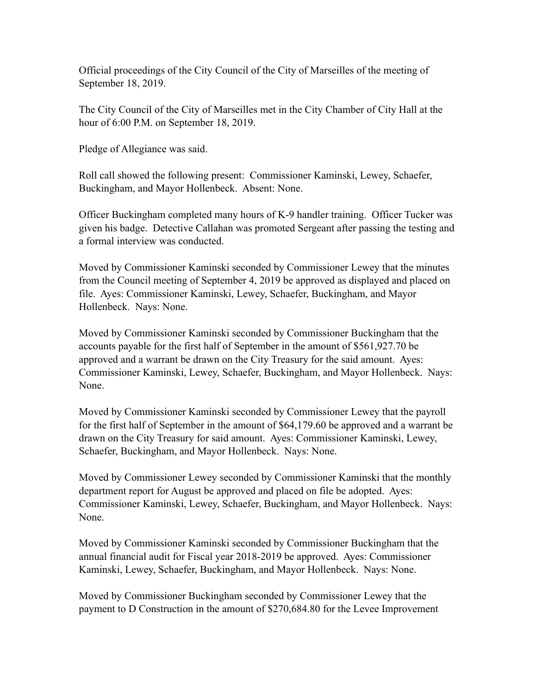Official proceedings of the City Council of the City of Marseilles of the meeting of September 18, 2019.

The City Council of the City of Marseilles met in the City Chamber of City Hall at the hour of 6:00 P.M. on September 18, 2019.

Pledge of Allegiance was said.

Roll call showed the following present: Commissioner Kaminski, Lewey, Schaefer, Buckingham, and Mayor Hollenbeck. Absent: None.

Officer Buckingham completed many hours of K-9 handler training. Officer Tucker was given his badge. Detective Callahan was promoted Sergeant after passing the testing and a formal interview was conducted.

Moved by Commissioner Kaminski seconded by Commissioner Lewey that the minutes from the Council meeting of September 4, 2019 be approved as displayed and placed on file. Ayes: Commissioner Kaminski, Lewey, Schaefer, Buckingham, and Mayor Hollenbeck. Nays: None.

Moved by Commissioner Kaminski seconded by Commissioner Buckingham that the accounts payable for the first half of September in the amount of \$561,927.70 be approved and a warrant be drawn on the City Treasury for the said amount. Ayes: Commissioner Kaminski, Lewey, Schaefer, Buckingham, and Mayor Hollenbeck. Nays: None.

Moved by Commissioner Kaminski seconded by Commissioner Lewey that the payroll for the first half of September in the amount of \$64,179.60 be approved and a warrant be drawn on the City Treasury for said amount. Ayes: Commissioner Kaminski, Lewey, Schaefer, Buckingham, and Mayor Hollenbeck. Nays: None.

Moved by Commissioner Lewey seconded by Commissioner Kaminski that the monthly department report for August be approved and placed on file be adopted. Ayes: Commissioner Kaminski, Lewey, Schaefer, Buckingham, and Mayor Hollenbeck. Nays: None.

Moved by Commissioner Kaminski seconded by Commissioner Buckingham that the annual financial audit for Fiscal year 2018-2019 be approved. Ayes: Commissioner Kaminski, Lewey, Schaefer, Buckingham, and Mayor Hollenbeck. Nays: None.

Moved by Commissioner Buckingham seconded by Commissioner Lewey that the payment to D Construction in the amount of \$270,684.80 for the Levee Improvement